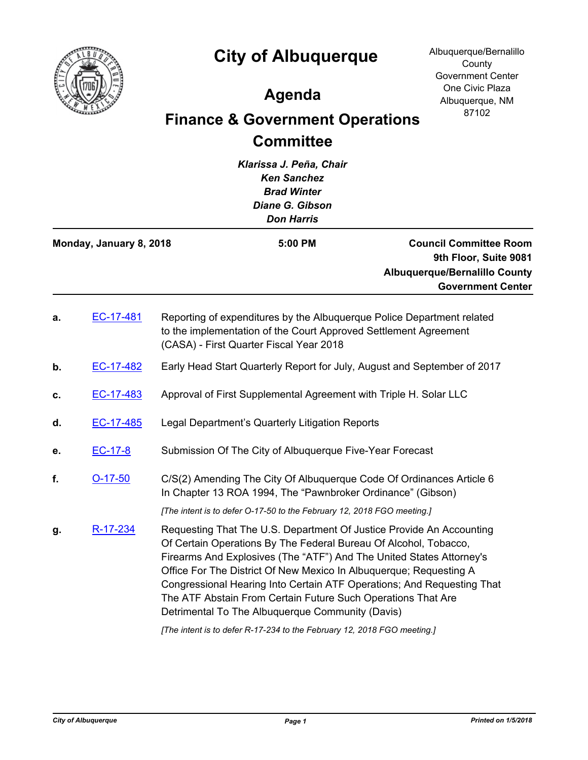

## **City of Albuquerque**

Albuquerque/Bernalillo **County** Government Center One Civic Plaza Albuquerque, NM 87102

## **Agenda**

## **Finance & Government Operations Committee**

| Klarissa J. Peña, Chair<br><b>Ken Sanchez</b><br><b>Brad Winter</b><br>Diane G. Gibson<br><b>Don Harris</b> |                         |  |                                                                                                                                                                                                                                                                                                                                                                                                                                                                                      |                                                                                                                            |
|-------------------------------------------------------------------------------------------------------------|-------------------------|--|--------------------------------------------------------------------------------------------------------------------------------------------------------------------------------------------------------------------------------------------------------------------------------------------------------------------------------------------------------------------------------------------------------------------------------------------------------------------------------------|----------------------------------------------------------------------------------------------------------------------------|
|                                                                                                             | Monday, January 8, 2018 |  | 5:00 PM                                                                                                                                                                                                                                                                                                                                                                                                                                                                              | <b>Council Committee Room</b><br>9th Floor, Suite 9081<br><b>Albuquerque/Bernalillo County</b><br><b>Government Center</b> |
| а.                                                                                                          | EC-17-481               |  | Reporting of expenditures by the Albuquerque Police Department related<br>to the implementation of the Court Approved Settlement Agreement<br>(CASA) - First Quarter Fiscal Year 2018                                                                                                                                                                                                                                                                                                |                                                                                                                            |
| b.                                                                                                          | EC-17-482               |  | Early Head Start Quarterly Report for July, August and September of 2017                                                                                                                                                                                                                                                                                                                                                                                                             |                                                                                                                            |
| c.                                                                                                          | EC-17-483               |  | Approval of First Supplemental Agreement with Triple H. Solar LLC                                                                                                                                                                                                                                                                                                                                                                                                                    |                                                                                                                            |
| d.                                                                                                          | EC-17-485               |  | Legal Department's Quarterly Litigation Reports                                                                                                                                                                                                                                                                                                                                                                                                                                      |                                                                                                                            |
| е.                                                                                                          | EC-17-8                 |  | Submission Of The City of Albuquerque Five-Year Forecast                                                                                                                                                                                                                                                                                                                                                                                                                             |                                                                                                                            |
| f.                                                                                                          | $O-17-50$               |  | C/S(2) Amending The City Of Albuquerque Code Of Ordinances Article 6<br>In Chapter 13 ROA 1994, The "Pawnbroker Ordinance" (Gibson)                                                                                                                                                                                                                                                                                                                                                  |                                                                                                                            |
|                                                                                                             |                         |  | [The intent is to defer O-17-50 to the February 12, 2018 FGO meeting.]                                                                                                                                                                                                                                                                                                                                                                                                               |                                                                                                                            |
| g.                                                                                                          | R-17-234                |  | Requesting That The U.S. Department Of Justice Provide An Accounting<br>Of Certain Operations By The Federal Bureau Of Alcohol, Tobacco,<br>Firearms And Explosives (The "ATF") And The United States Attorney's<br>Office For The District Of New Mexico In Albuquerque; Requesting A<br>Congressional Hearing Into Certain ATF Operations; And Requesting That<br>The ATF Abstain From Certain Future Such Operations That Are<br>Detrimental To The Albuquerque Community (Davis) |                                                                                                                            |

*[The intent is to defer R-17-234 to the February 12, 2018 FGO meeting.]*